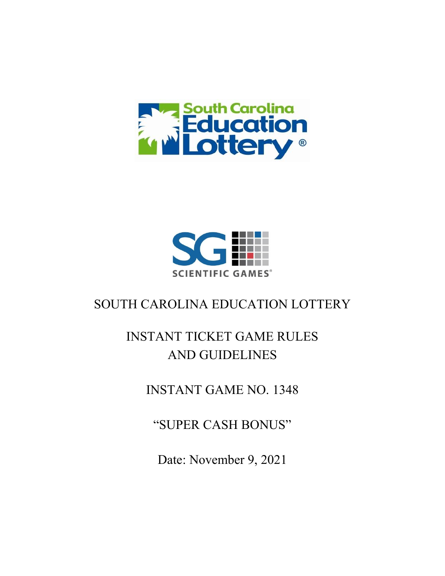



## SOUTH CAROLINA EDUCATION LOTTERY

# INSTANT TICKET GAME RULES AND GUIDELINES

INSTANT GAME NO. 1348

"SUPER CASH BONUS"

Date: November 9, 2021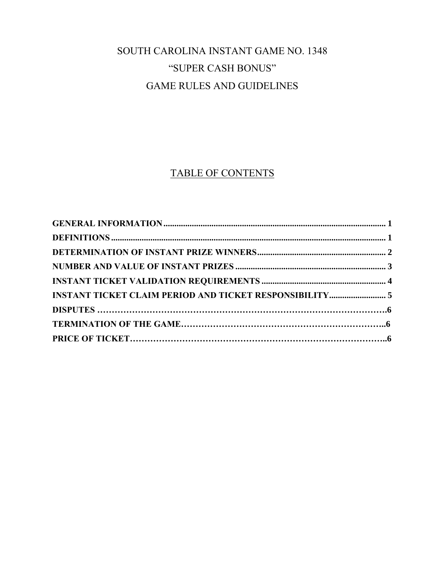## SOUTH CAROLINA INSTANT GAME NO. 1348 "SUPER CASH BONUS" GAME RULES AND GUIDELINES

### TABLE OF CONTENTS

| <b>INSTANT TICKET CLAIM PERIOD AND TICKET RESPONSIBILITY 5</b> |  |
|----------------------------------------------------------------|--|
|                                                                |  |
|                                                                |  |
|                                                                |  |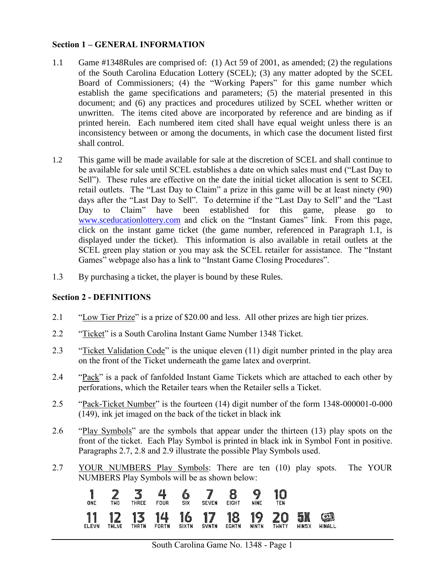#### <span id="page-2-0"></span>**Section 1 – GENERAL INFORMATION**

- 1.1 Game #1348Rules are comprised of: (1) Act 59 of 2001, as amended; (2) the regulations of the South Carolina Education Lottery (SCEL); (3) any matter adopted by the SCEL Board of Commissioners; (4) the "Working Papers" for this game number which establish the game specifications and parameters; (5) the material presented in this document; and (6) any practices and procedures utilized by SCEL whether written or unwritten. The items cited above are incorporated by reference and are binding as if printed herein. Each numbered item cited shall have equal weight unless there is an inconsistency between or among the documents, in which case the document listed first shall control.
- 1.2 This game will be made available for sale at the discretion of SCEL and shall continue to be available for sale until SCEL establishes a date on which sales must end ("Last Day to Sell"). These rules are effective on the date the initial ticket allocation is sent to SCEL retail outlets. The "Last Day to Claim" a prize in this game will be at least ninety (90) days after the "Last Day to Sell". To determine if the "Last Day to Sell" and the "Last Day to Claim" have been established for this game, please go to [www.sceducationlottery.com](http://www.sceducationlottery.com/) and click on the "Instant Games" link. From this page, click on the instant game ticket (the game number, referenced in Paragraph 1.1, is displayed under the ticket). This information is also available in retail outlets at the SCEL green play station or you may ask the SCEL retailer for assistance. The "Instant Games" webpage also has a link to "Instant Game Closing Procedures".
- 1.3 By purchasing a ticket, the player is bound by these Rules.

#### <span id="page-2-1"></span>**Section 2 - DEFINITIONS**

- 2.1 "Low Tier Prize" is a prize of \$20.00 and less. All other prizes are high tier prizes.
- 2.2 "Ticket" is a South Carolina Instant Game Number 1348 Ticket.
- 2.3 "Ticket Validation Code" is the unique eleven (11) digit number printed in the play area on the front of the Ticket underneath the game latex and overprint.
- 2.4 "Pack" is a pack of fanfolded Instant Game Tickets which are attached to each other by perforations, which the Retailer tears when the Retailer sells a Ticket.
- 2.5 "Pack-Ticket Number" is the fourteen (14) digit number of the form 1348-000001-0-000 (149), ink jet imaged on the back of the ticket in black ink
- 2.6 "Play Symbols" are the symbols that appear under the thirteen (13) play spots on the front of the ticket. Each Play Symbol is printed in black ink in Symbol Font in positive. Paragraphs 2.7, 2.8 and 2.9 illustrate the possible Play Symbols used.
- 2.7 YOUR NUMBERS Play Symbols: There are ten (10) play spots. The YOUR NUMBERS Play Symbols will be as shown below:

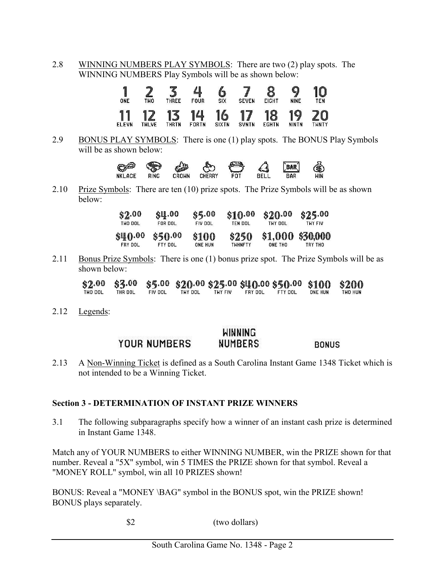2.8 WINNING NUMBERS PLAY SYMBOLS: There are two (2) play spots. The WINNING NUMBERS Play Symbols will be as shown below:



2.9 BONUS PLAY SYMBOLS: There is one (1) play spots. The BONUS Play Symbols will be as shown below:



2.10 Prize Symbols: There are ten (10) prize spots. The Prize Symbols will be as shown below:

| \$4.00   | \$5.00   | \$10.00  | \$20.00            | \$25.00                     |
|----------|----------|----------|--------------------|-----------------------------|
| FOR DOL. | FIV DOL. | TEN DOL. | THY DOL            | THY FIV                     |
| \$50.00  | \$100    | \$250    |                    | \$1,000 \$30,000<br>TRY THO |
|          | FTY DOL  |          | ONE HUN<br>TWHNFTY | ONE THO                     |

2.11 Bonus Prize Symbols: There is one (1) bonus prize spot. The Prize Symbols will be as shown below:

|         |         |         |         |         |         | \$2.00   \$3.00   \$5.00  \$20.00 \$25.00 \$40.00 \$50.00  \$100   \$200 |         |         |
|---------|---------|---------|---------|---------|---------|--------------------------------------------------------------------------|---------|---------|
| THO DOL | THR DOL | FIV DOL | TWY DOL | THY FIV | FRY DOL | - FTY DOL                                                                | ONE HUN | TWO HUN |

2.12 Legends:

#### <span id="page-3-0"></span>WINNING YOUR NUMBERS **NUMBERS BONUS**

2.13 A Non-Winning Ticket is defined as a South Carolina Instant Game 1348 Ticket which is not intended to be a Winning Ticket.

#### **Section 3 - DETERMINATION OF INSTANT PRIZE WINNERS**

3.1 The following subparagraphs specify how a winner of an instant cash prize is determined in Instant Game 1348.

Match any of YOUR NUMBERS to either WINNING NUMBER, win the PRIZE shown for that number. Reveal a "5X" symbol, win 5 TIMES the PRIZE shown for that symbol. Reveal a "MONEY ROLL" symbol, win all 10 PRIZES shown!

BONUS: Reveal a "MONEY \BAG" symbol in the BONUS spot, win the PRIZE shown! BONUS plays separately.

\$2 (two dollars)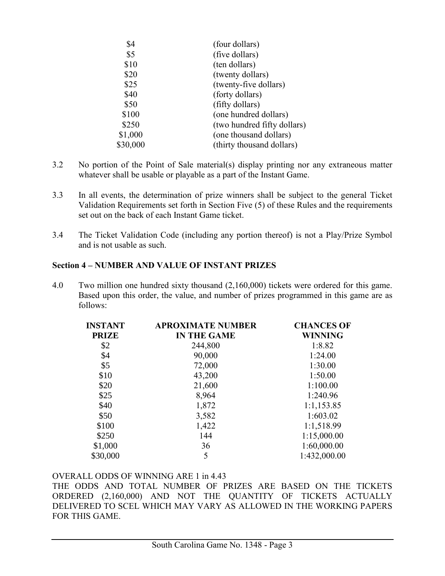| \$4      | (four dollars)              |
|----------|-----------------------------|
| \$5      | (five dollars)              |
| \$10     | (ten dollars)               |
| \$20     | (twenty dollars)            |
| \$25     | (twenty-five dollars)       |
| \$40     | (forty dollars)             |
| \$50     | (fifty dollars)             |
| \$100    | (one hundred dollars)       |
| \$250    | (two hundred fifty dollars) |
| \$1,000  | (one thousand dollars)      |
| \$30,000 | (thirty thousand dollars)   |

- 3.2 No portion of the Point of Sale material(s) display printing nor any extraneous matter whatever shall be usable or playable as a part of the Instant Game.
- 3.3 In all events, the determination of prize winners shall be subject to the general Ticket Validation Requirements set forth in Section Five (5) of these Rules and the requirements set out on the back of each Instant Game ticket.
- 3.4 The Ticket Validation Code (including any portion thereof) is not a Play/Prize Symbol and is not usable as such.

#### **Section 4 – NUMBER AND VALUE OF INSTANT PRIZES**

4.0 Two million one hundred sixty thousand (2,160,000) tickets were ordered for this game. Based upon this order, the value, and number of prizes programmed in this game are as follows:

<span id="page-4-0"></span>

| <b>INSTANT</b> | <b>APROXIMATE NUMBER</b> | <b>CHANCES OF</b> |
|----------------|--------------------------|-------------------|
| <b>PRIZE</b>   | <b>IN THE GAME</b>       | <b>WINNING</b>    |
| \$2            | 244,800                  | 1:8.82            |
| \$4            | 90,000                   | 1:24.00           |
| \$5            | 72,000                   | 1:30.00           |
| \$10           | 43,200                   | 1:50.00           |
| \$20           | 21,600                   | 1:100.00          |
| \$25           | 8,964                    | 1:240.96          |
| \$40           | 1,872                    | 1:1,153.85        |
| \$50           | 3,582                    | 1:603.02          |
| \$100          | 1,422                    | 1:1,518.99        |
| \$250          | 144                      | 1:15,000.00       |
| \$1,000        | 36                       | 1:60,000.00       |
| \$30,000       | 5                        | 1:432,000.00      |

OVERALL ODDS OF WINNING ARE 1 in 4.43

THE ODDS AND TOTAL NUMBER OF PRIZES ARE BASED ON THE TICKETS ORDERED (2,160,000) AND NOT THE QUANTITY OF TICKETS ACTUALLY DELIVERED TO SCEL WHICH MAY VARY AS ALLOWED IN THE WORKING PAPERS FOR THIS GAME.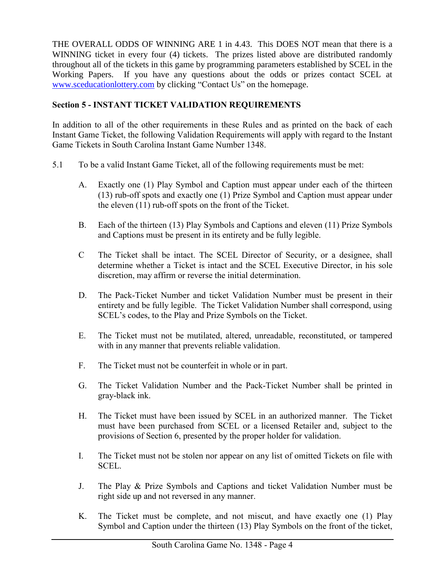THE OVERALL ODDS OF WINNING ARE 1 in 4.43. This DOES NOT mean that there is a WINNING ticket in every four (4) tickets. The prizes listed above are distributed randomly throughout all of the tickets in this game by programming parameters established by SCEL in the Working Papers. If you have any questions about the odds or prizes contact SCEL at [www.sceducationlottery.com](http://www.sceducationlottery.com/) by clicking "Contact Us" on the homepage.

### <span id="page-5-0"></span>**Section 5 - INSTANT TICKET VALIDATION REQUIREMENTS**

In addition to all of the other requirements in these Rules and as printed on the back of each Instant Game Ticket, the following Validation Requirements will apply with regard to the Instant Game Tickets in South Carolina Instant Game Number 1348.

- 5.1 To be a valid Instant Game Ticket, all of the following requirements must be met:
	- A. Exactly one (1) Play Symbol and Caption must appear under each of the thirteen (13) rub-off spots and exactly one (1) Prize Symbol and Caption must appear under the eleven (11) rub-off spots on the front of the Ticket.
	- B. Each of the thirteen (13) Play Symbols and Captions and eleven (11) Prize Symbols and Captions must be present in its entirety and be fully legible.
	- C The Ticket shall be intact. The SCEL Director of Security, or a designee, shall determine whether a Ticket is intact and the SCEL Executive Director, in his sole discretion, may affirm or reverse the initial determination.
	- D. The Pack-Ticket Number and ticket Validation Number must be present in their entirety and be fully legible. The Ticket Validation Number shall correspond, using SCEL's codes, to the Play and Prize Symbols on the Ticket.
	- E. The Ticket must not be mutilated, altered, unreadable, reconstituted, or tampered with in any manner that prevents reliable validation.
	- F. The Ticket must not be counterfeit in whole or in part.
	- G. The Ticket Validation Number and the Pack-Ticket Number shall be printed in gray-black ink.
	- H. The Ticket must have been issued by SCEL in an authorized manner. The Ticket must have been purchased from SCEL or a licensed Retailer and, subject to the provisions of Section 6, presented by the proper holder for validation.
	- I. The Ticket must not be stolen nor appear on any list of omitted Tickets on file with SCEL.
	- J. The Play & Prize Symbols and Captions and ticket Validation Number must be right side up and not reversed in any manner.
	- K. The Ticket must be complete, and not miscut, and have exactly one (1) Play Symbol and Caption under the thirteen (13) Play Symbols on the front of the ticket,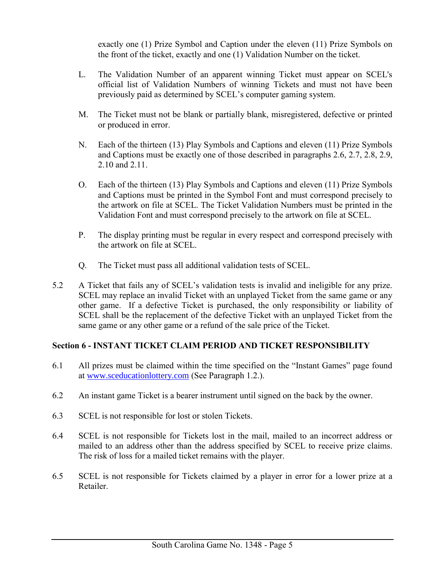exactly one (1) Prize Symbol and Caption under the eleven (11) Prize Symbols on the front of the ticket, exactly and one (1) Validation Number on the ticket.

- L. The Validation Number of an apparent winning Ticket must appear on SCEL's official list of Validation Numbers of winning Tickets and must not have been previously paid as determined by SCEL's computer gaming system.
- M. The Ticket must not be blank or partially blank, misregistered, defective or printed or produced in error.
- N. Each of the thirteen (13) Play Symbols and Captions and eleven (11) Prize Symbols and Captions must be exactly one of those described in paragraphs 2.6, 2.7, 2.8, 2.9, 2.10 and 2.11.
- O. Each of the thirteen (13) Play Symbols and Captions and eleven (11) Prize Symbols and Captions must be printed in the Symbol Font and must correspond precisely to the artwork on file at SCEL. The Ticket Validation Numbers must be printed in the Validation Font and must correspond precisely to the artwork on file at SCEL.
- P. The display printing must be regular in every respect and correspond precisely with the artwork on file at SCEL.
- <span id="page-6-0"></span>Q. The Ticket must pass all additional validation tests of SCEL.
- 5.2 A Ticket that fails any of SCEL's validation tests is invalid and ineligible for any prize. SCEL may replace an invalid Ticket with an unplayed Ticket from the same game or any other game. If a defective Ticket is purchased, the only responsibility or liability of SCEL shall be the replacement of the defective Ticket with an unplayed Ticket from the same game or any other game or a refund of the sale price of the Ticket.

#### **Section 6 - INSTANT TICKET CLAIM PERIOD AND TICKET RESPONSIBILITY**

- 6.1 All prizes must be claimed within the time specified on the "Instant Games" page found at [www.sceducationlottery.com](http://www.sceducationlottery.com/) (See Paragraph 1.2.).
- 6.2 An instant game Ticket is a bearer instrument until signed on the back by the owner.
- 6.3 SCEL is not responsible for lost or stolen Tickets.
- 6.4 SCEL is not responsible for Tickets lost in the mail, mailed to an incorrect address or mailed to an address other than the address specified by SCEL to receive prize claims. The risk of loss for a mailed ticket remains with the player.
- 6.5 SCEL is not responsible for Tickets claimed by a player in error for a lower prize at a Retailer.